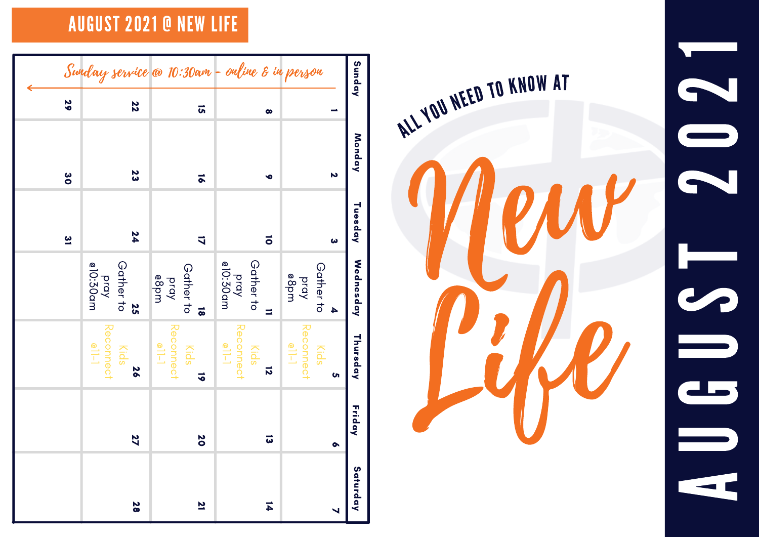

A <u>Land</u> dby <u>United States of the States of the States of the States of the States of the States of the States of the States of the States of the States of the States of the States of the States of the States of the States of the Stat</u> ST**22**  $\qquad \qquad \qquad$  $\blacktriangleright$  $\sqrt{1-\frac{1}{2}}$ 

AUGUST 2021 @ NEW LIFE

| Sunday                                              | Monday                  | Tuesday                 | Wednesday                                         | Thursday<br><b>In</b>                                                                      | Friday               |
|-----------------------------------------------------|-------------------------|-------------------------|---------------------------------------------------|--------------------------------------------------------------------------------------------|----------------------|
|                                                     | $\overline{\mathbf{v}}$ | $\boldsymbol{\omega}$   | Gather to<br>e8pm<br><b>bray</b><br>4             | Reconnect<br>Kids<br>$\sqrt{1-1}$                                                          |                      |
| $\bullet$                                           | $\bullet$               | $\vec{o}$               | Gather to<br>e10:30am<br>pray<br>$\equiv$         | <b>Reconnect</b><br>Kids<br>$\begin{array}{c} \boxed{\mathbf{0}} \\ \boxed{-} \end{array}$ | $\vec{v}$            |
| $\overrightarrow{a}$                                | $\overline{\bullet}$    | $\overline{\mathbf{u}}$ | Gather to<br>e8pm<br>pray<br>$\overline{\bullet}$ | <b>Reconnect</b><br>Kids<br>$\frac{1}{\sqrt{2}}$                                           | $\overline{\bullet}$ |
| Sunday service @ 10:30am - online & in person<br>22 | 23                      | 24                      | Gather to<br>@10:30am<br>pray<br><b>N</b>         | Reconnect<br>Kids<br>$\frac{1}{\sqrt{1}}$                                                  | 26                   |
| 52                                                  | $\frac{2}{5}$           | <u>ပ</u>                |                                                   |                                                                                            |                      |